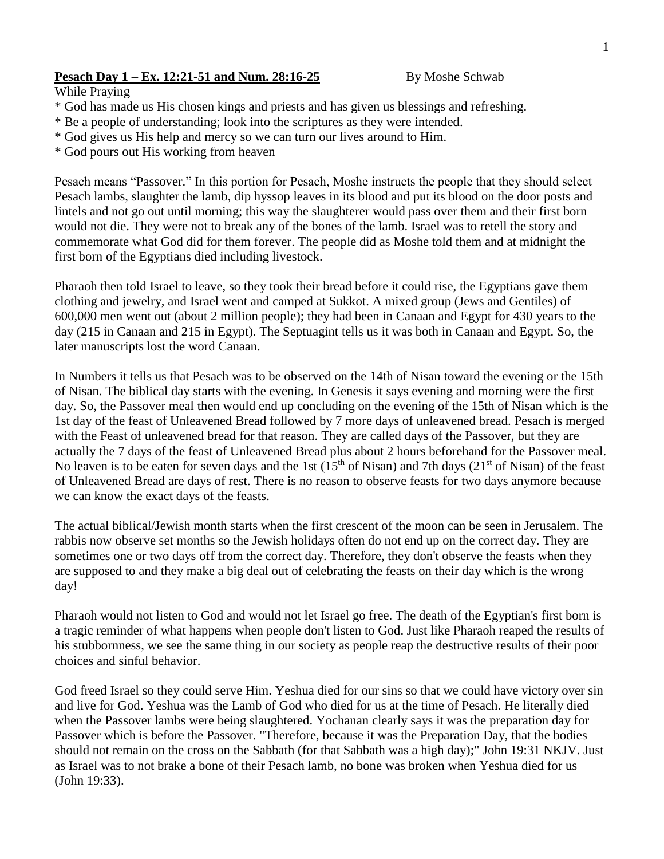## **Pesach Day 1 – Ex. 12:21-51 and Num. 28:16-25** By Moshe Schwab

While Praying

- \* God has made us His chosen kings and priests and has given us blessings and refreshing.
- \* Be a people of understanding; look into the scriptures as they were intended.
- \* God gives us His help and mercy so we can turn our lives around to Him.
- \* God pours out His working from heaven

Pesach means "Passover." In this portion for Pesach, Moshe instructs the people that they should select Pesach lambs, slaughter the lamb, dip hyssop leaves in its blood and put its blood on the door posts and lintels and not go out until morning; this way the slaughterer would pass over them and their first born would not die. They were not to break any of the bones of the lamb. Israel was to retell the story and commemorate what God did for them forever. The people did as Moshe told them and at midnight the first born of the Egyptians died including livestock.

Pharaoh then told Israel to leave, so they took their bread before it could rise, the Egyptians gave them clothing and jewelry, and Israel went and camped at Sukkot. A mixed group (Jews and Gentiles) of 600,000 men went out (about 2 million people); they had been in Canaan and Egypt for 430 years to the day (215 in Canaan and 215 in Egypt). The Septuagint tells us it was both in Canaan and Egypt. So, the later manuscripts lost the word Canaan.

In Numbers it tells us that Pesach was to be observed on the 14th of Nisan toward the evening or the 15th of Nisan. The biblical day starts with the evening. In Genesis it says evening and morning were the first day. So, the Passover meal then would end up concluding on the evening of the 15th of Nisan which is the 1st day of the feast of Unleavened Bread followed by 7 more days of unleavened bread. Pesach is merged with the Feast of unleavened bread for that reason. They are called days of the Passover, but they are actually the 7 days of the feast of Unleavened Bread plus about 2 hours beforehand for the Passover meal. No leaven is to be eaten for seven days and the 1st  $(15<sup>th</sup>$  of Nisan) and 7th days  $(21<sup>st</sup>$  of Nisan) of the feast of Unleavened Bread are days of rest. There is no reason to observe feasts for two days anymore because we can know the exact days of the feasts.

The actual biblical/Jewish month starts when the first crescent of the moon can be seen in Jerusalem. The rabbis now observe set months so the Jewish holidays often do not end up on the correct day. They are sometimes one or two days off from the correct day. Therefore, they don't observe the feasts when they are supposed to and they make a big deal out of celebrating the feasts on their day which is the wrong day!

Pharaoh would not listen to God and would not let Israel go free. The death of the Egyptian's first born is a tragic reminder of what happens when people don't listen to God. Just like Pharaoh reaped the results of his stubbornness, we see the same thing in our society as people reap the destructive results of their poor choices and sinful behavior.

God freed Israel so they could serve Him. Yeshua died for our sins so that we could have victory over sin and live for God. Yeshua was the Lamb of God who died for us at the time of Pesach. He literally died when the Passover lambs were being slaughtered. Yochanan clearly says it was the preparation day for Passover which is before the Passover. "Therefore, because it was the Preparation Day, that the bodies should not remain on the cross on the Sabbath (for that Sabbath was a high day);" John 19:31 NKJV. Just as Israel was to not brake a bone of their Pesach lamb, no bone was broken when Yeshua died for us (John 19:33).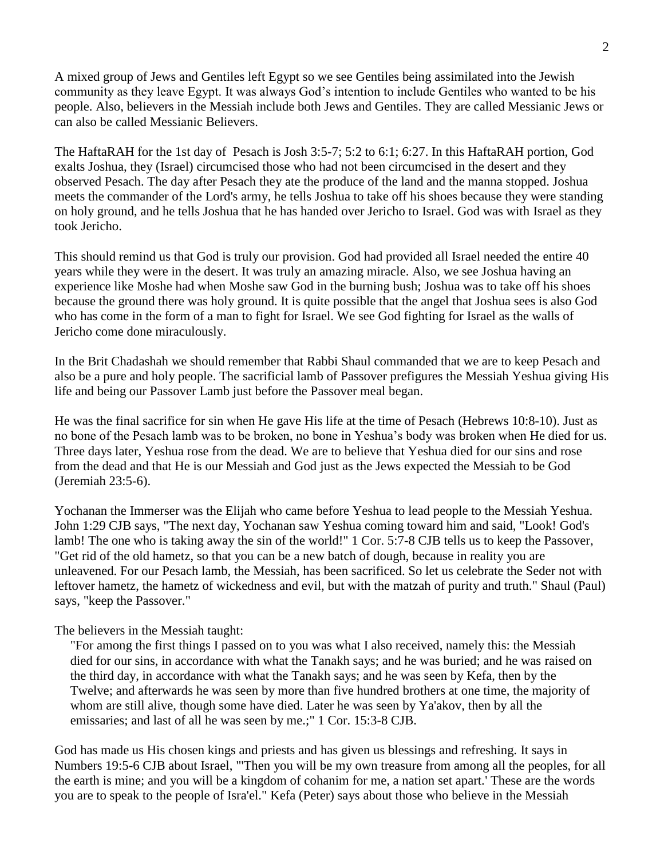A mixed group of Jews and Gentiles left Egypt so we see Gentiles being assimilated into the Jewish community as they leave Egypt. It was always God's intention to include Gentiles who wanted to be his people. Also, believers in the Messiah include both Jews and Gentiles. They are called Messianic Jews or can also be called Messianic Believers.

The HaftaRAH for the 1st day of Pesach is Josh 3:5-7; 5:2 to 6:1; 6:27. In this HaftaRAH portion, God exalts Joshua, they (Israel) circumcised those who had not been circumcised in the desert and they observed Pesach. The day after Pesach they ate the produce of the land and the manna stopped. Joshua meets the commander of the Lord's army, he tells Joshua to take off his shoes because they were standing on holy ground, and he tells Joshua that he has handed over Jericho to Israel. God was with Israel as they took Jericho.

This should remind us that God is truly our provision. God had provided all Israel needed the entire 40 years while they were in the desert. It was truly an amazing miracle. Also, we see Joshua having an experience like Moshe had when Moshe saw God in the burning bush; Joshua was to take off his shoes because the ground there was holy ground. It is quite possible that the angel that Joshua sees is also God who has come in the form of a man to fight for Israel. We see God fighting for Israel as the walls of Jericho come done miraculously.

In the Brit Chadashah we should remember that Rabbi Shaul commanded that we are to keep Pesach and also be a pure and holy people. The sacrificial lamb of Passover prefigures the Messiah Yeshua giving His life and being our Passover Lamb just before the Passover meal began.

He was the final sacrifice for sin when He gave His life at the time of Pesach (Hebrews 10:8-10). Just as no bone of the Pesach lamb was to be broken, no bone in Yeshua's body was broken when He died for us. Three days later, Yeshua rose from the dead. We are to believe that Yeshua died for our sins and rose from the dead and that He is our Messiah and God just as the Jews expected the Messiah to be God (Jeremiah 23:5-6).

Yochanan the Immerser was the Elijah who came before Yeshua to lead people to the Messiah Yeshua. John 1:29 CJB says, "The next day, Yochanan saw Yeshua coming toward him and said, "Look! God's lamb! The one who is taking away the sin of the world!" 1 Cor. 5:7-8 CJB tells us to keep the Passover, "Get rid of the old hametz, so that you can be a new batch of dough, because in reality you are unleavened. For our Pesach lamb, the Messiah, has been sacrificed. So let us celebrate the Seder not with leftover hametz, the hametz of wickedness and evil, but with the matzah of purity and truth." Shaul (Paul) says, "keep the Passover."

## The believers in the Messiah taught:

"For among the first things I passed on to you was what I also received, namely this: the Messiah died for our sins, in accordance with what the Tanakh says; and he was buried; and he was raised on the third day, in accordance with what the Tanakh says; and he was seen by Kefa, then by the Twelve; and afterwards he was seen by more than five hundred brothers at one time, the majority of whom are still alive, though some have died. Later he was seen by Ya'akov, then by all the emissaries; and last of all he was seen by me.;" 1 Cor. 15:3-8 CJB.

God has made us His chosen kings and priests and has given us blessings and refreshing. It says in Numbers 19:5-6 CJB about Israel, "'Then you will be my own treasure from among all the peoples, for all the earth is mine; and you will be a kingdom of cohanim for me, a nation set apart.' These are the words you are to speak to the people of Isra'el." Kefa (Peter) says about those who believe in the Messiah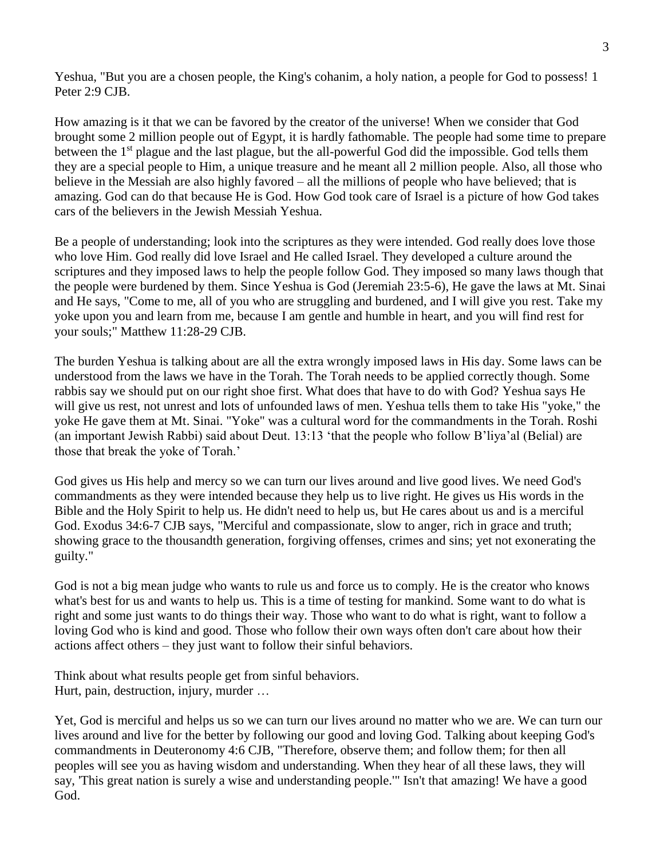Yeshua, "But you are a chosen people, the King's cohanim, a holy nation, a people for God to possess! 1 Peter 2:9 CJB.

How amazing is it that we can be favored by the creator of the universe! When we consider that God brought some 2 million people out of Egypt, it is hardly fathomable. The people had some time to prepare between the 1st plague and the last plague, but the all-powerful God did the impossible. God tells them they are a special people to Him, a unique treasure and he meant all 2 million people. Also, all those who believe in the Messiah are also highly favored – all the millions of people who have believed; that is amazing. God can do that because He is God. How God took care of Israel is a picture of how God takes cars of the believers in the Jewish Messiah Yeshua.

Be a people of understanding; look into the scriptures as they were intended. God really does love those who love Him. God really did love Israel and He called Israel. They developed a culture around the scriptures and they imposed laws to help the people follow God. They imposed so many laws though that the people were burdened by them. Since Yeshua is God (Jeremiah 23:5-6), He gave the laws at Mt. Sinai and He says, "Come to me, all of you who are struggling and burdened, and I will give you rest. Take my yoke upon you and learn from me, because I am gentle and humble in heart, and you will find rest for your souls;" Matthew 11:28-29 CJB.

The burden Yeshua is talking about are all the extra wrongly imposed laws in His day. Some laws can be understood from the laws we have in the Torah. The Torah needs to be applied correctly though. Some rabbis say we should put on our right shoe first. What does that have to do with God? Yeshua says He will give us rest, not unrest and lots of unfounded laws of men. Yeshua tells them to take His "yoke," the yoke He gave them at Mt. Sinai. "Yoke" was a cultural word for the commandments in the Torah. Roshi (an important Jewish Rabbi) said about Deut. 13:13 'that the people who follow B'liya'al (Belial) are those that break the yoke of Torah.'

God gives us His help and mercy so we can turn our lives around and live good lives. We need God's commandments as they were intended because they help us to live right. He gives us His words in the Bible and the Holy Spirit to help us. He didn't need to help us, but He cares about us and is a merciful God. Exodus 34:6-7 CJB says, "Merciful and compassionate, slow to anger, rich in grace and truth; showing grace to the thousandth generation, forgiving offenses, crimes and sins; yet not exonerating the guilty."

God is not a big mean judge who wants to rule us and force us to comply. He is the creator who knows what's best for us and wants to help us. This is a time of testing for mankind. Some want to do what is right and some just wants to do things their way. Those who want to do what is right, want to follow a loving God who is kind and good. Those who follow their own ways often don't care about how their actions affect others – they just want to follow their sinful behaviors.

Think about what results people get from sinful behaviors. Hurt, pain, destruction, injury, murder …

Yet, God is merciful and helps us so we can turn our lives around no matter who we are. We can turn our lives around and live for the better by following our good and loving God. Talking about keeping God's commandments in Deuteronomy 4:6 CJB, "Therefore, observe them; and follow them; for then all peoples will see you as having wisdom and understanding. When they hear of all these laws, they will say, 'This great nation is surely a wise and understanding people.'" Isn't that amazing! We have a good God.